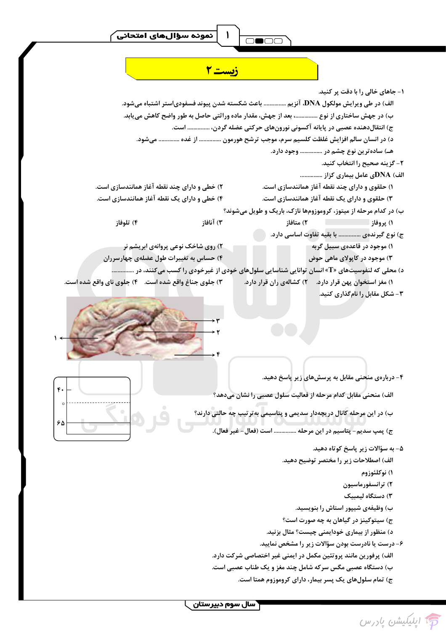



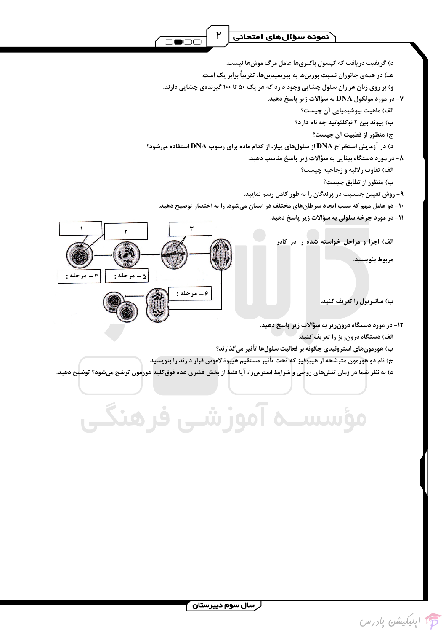

د) گریفیت دریافت که کیسول باکتریها عامل مرگ موشها نیست.

هـ) در همهی جانوران نسبت پورینها به پیریمیدینها، تقریباً برابر یک است.

و) بر روی زبان هزاران سلول چشایی وجود دارد که هر یک ۵۰ تا ۱۰۰ گیرندهی چشایی دارند.

۷- در مورد مولکول DNA به سؤالات زیر پاسخ دهید.

الف) ماهيت بيوشيميايي آن چيست؟

ب) پیوند بین ۲ نوکلئوتید چه نام دارد؟

ج) منظور از قطبيت آن چيست؟

د) در آزمایش استخراج DNA از سلولهای پیاز، از کدام ماده برای رسوب DNA استفاده میشود؟

۸- در مورد دستگاه بینایی به سؤالات زیر پاسخ مناسب دهید.

الف) تفاوت زلاليه و زجاجيه چيست؟

ب) منظور از تطابق چیست؟

۹- روش تعیین جنسیت در پرندگان را به طور کامل رسم نمایید.

۱۰- دو عامل مهم که سبب ایجاد سرطانهای مختلف در انسان میشود، را به اختصار توضیح دهید.

11- در مورد چرخه سلولی به سؤالات زیر پاسخ دهید.

الف) اجزاً و مراحل خواسته شده را در کادر

مربوط بنويسيد.

ب) سانتریول را تعریف کنید.

۱۲- در مورد دستگاه درون ریز به سؤالات زیر پاسخ دهید.

الف) دستگاه درونریز را تعریف کنید.

ب) هورمونهای استروئیدی چگونه بر فعالیت سلولها تأثیر میگذارند؟

ج) نام دو هورمون مترشحه از هیپوفیز که تحت تأثیر مستقیم هیپوتالاموس قرار دارند را بنویسید.

د) به نظر شما در زمان تنشهای روحی و شرایط استرس;زا، آیا فقط از بخش قشری غده فوق کلیه هورمون ترشح میشود؟ توضیح دهید.

مؤسســه آموزشــی فرهنگــی

۶ – مرحله :

 $: 4 - \alpha$  مرحله  $\alpha$ 

 $\Delta$